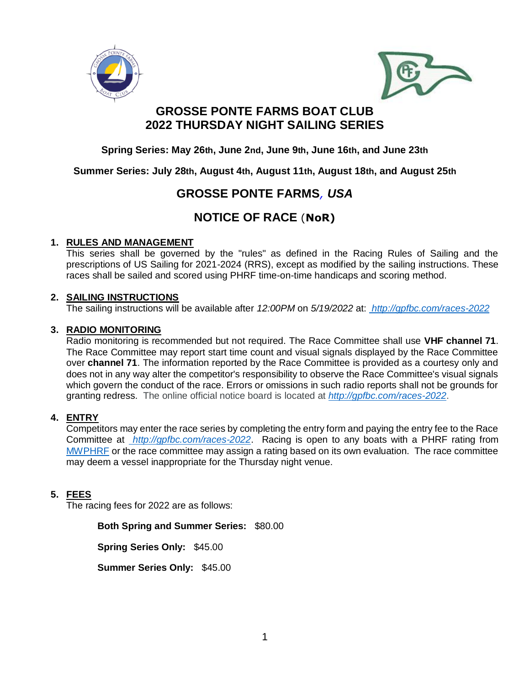



## **GROSSE PONTE FARMS BOAT CLUB 2022 THURSDAY NIGHT SAILING SERIES**

**Spring Series: May 26th, June 2nd, June 9th, June 16th, and June 23th**

**Summer Series: July 28th, August 4th, August 11th, August 18th, and August 25th**

## **GROSSE PONTE FARMS***, USA*

# **NOTICE OF RACE** (**NoR)**

## **1. RULES AND MANAGEMENT**

This series shall be governed by the "rules" as defined in the Racing Rules of Sailing and the prescriptions of US Sailing for 2021-2024 (RRS), except as modified by the sailing instructions. These races shall be sailed and scored using PHRF time-on-time handicaps and scoring method.

## **2. SAILING INSTRUCTIONS**

The sailing instructions will be available after *12:00PM* on *5/19/2022* at: *<http://gpfbc.com/races-2022>*

### **3. RADIO MONITORING**

Radio monitoring is recommended but not required. The Race Committee shall use **VHF channel 71**. The Race Committee may report start time count and visual signals displayed by the Race Committee over **channel 71**. The information reported by the Race Committee is provided as a courtesy only and does not in any way alter the competitor's responsibility to observe the Race Committee's visual signals which govern the conduct of the race. Errors or omissions in such radio reports shall not be grounds for granting redress. The online official notice board is located at *<http://gpfbc.com/races-2022>*.

## **4. ENTRY**

Competitors may enter the race series by completing the entry form and paying the entry fee to the Race Committee at *<http://gpfbc.com/races-2022>*. Racing is open to any boats with a PHRF rating from [MWPHRF](https://www.mwphrf.org/index.php) or the race committee may assign a rating based on its own evaluation. The race committee may deem a vessel inappropriate for the Thursday night venue.

## **5. FEES**

The racing fees for 2022 are as follows:

**Both Spring and Summer Series:** \$80.00

**Spring Series Only:** \$45.00

**Summer Series Only:** \$45.00